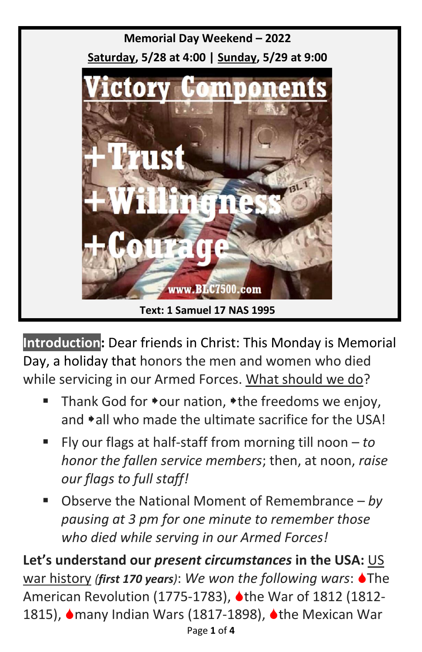

**Introduction:** Dear friends in Christ: This Monday is Memorial Day, a holiday that honors the men and women who died while servicing in our Armed Forces. What should we do?

- **Thank God for**  $\rightarrow$  **our nation,**  $\rightarrow$  **the freedoms we enjoy,** and  $\star$ all who made the ultimate sacrifice for the USA!
- Fly our flags at half-staff from morning till noon *to honor the fallen service members*; then, at noon, *raise our flags to full staff!*
- Observe the National Moment of Remembrance by *pausing at 3 pm for one minute to remember those who died while serving in our Armed Forces!*

**Let's understand our** *present circumstances* **in the USA:** US *war history (first 170 years): We won the following wars: ♦ The* American Revolution (1775-1783), ♦ the War of 1812 (1812-1815),  $\triangle$ many Indian Wars (1817-1898),  $\triangle$ the Mexican War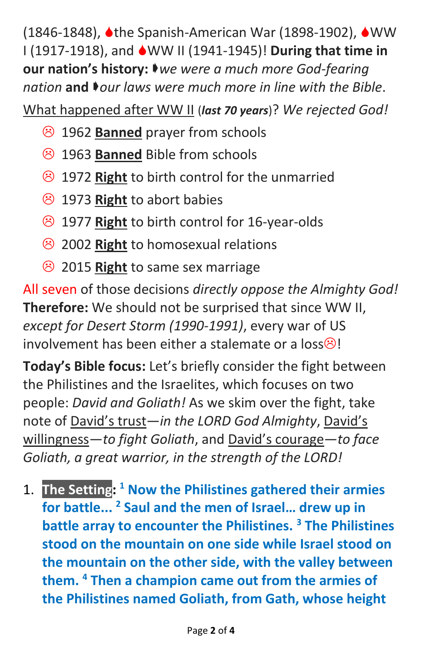(1846-1848), the Spanish-American War (1898-1902),  $\triangle$  WW I (1917-1918), and WW II (1941-1945)! **During that time in our nation's history:** *we were a much more God-fearing nation* and *vour laws were much more in line with the Bible.* 

What happened after WW II (*last 70 years*)? *We rejected God!*

- 1962 **Banned** prayer from schools
- 1963 **Banned** Bible from schools
- 1972 **Right** to birth control for the unmarried
- 1973 **Right** to abort babies
- 1977 **Right** to birth control for 16-year-olds
- 2002 **Right** to homosexual relations
- 2015 **Right** to same sex marriage

All seven of those decisions *directly oppose the Almighty God!* **Therefore:** We should not be surprised that since WW II, *except for Desert Storm (1990-1991)*, every war of US involvement has been either a stalemate or a loss $\odot$ !

**Today's Bible focus:** Let's briefly consider the fight between the Philistines and the Israelites, which focuses on two people: *David and Goliath!* As we skim over the fight, take note of David's trust—*in the LORD God Almighty*, David's willingness—*to fight Goliath*, and David's courage—*to face Goliath, a great warrior, in the strength of the LORD!*

1. **The Setting: <sup>1</sup> Now the Philistines gathered their armies for battle... 2 Saul and the men of Israel… drew up in battle array to encounter the Philistines. <sup>3</sup> The Philistines stood on the mountain on one side while Israel stood on the mountain on the other side, with the valley between them. <sup>4</sup> Then a champion came out from the armies of the Philistines named Goliath, from Gath, whose height**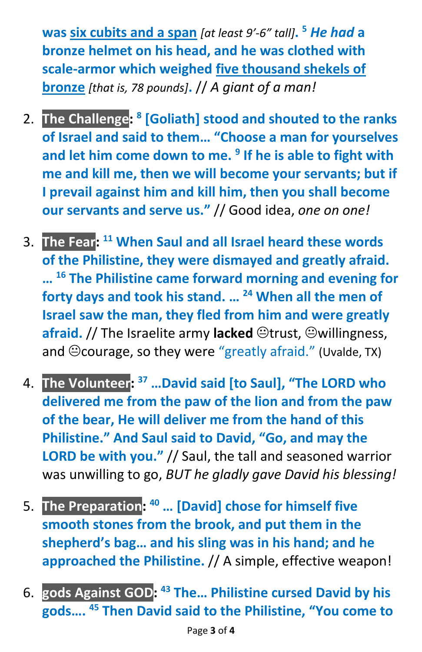**was six cubits and a span** *[at least 9'-6" tall]***. <sup>5</sup>** *He had* **a bronze helmet on his head, and he was clothed with scale-armor which weighed five thousand shekels of bronze** *[that is, 78 pounds]***.** // *A giant of a man!*

- 2. **The Challenge: 8 [Goliath] stood and shouted to the ranks of Israel and said to them… "Choose a man for yourselves and let him come down to me. <sup>9</sup> If he is able to fight with me and kill me, then we will become your servants; but if I prevail against him and kill him, then you shall become our servants and serve us."** // Good idea, *one on one!*
- 3. **The Fear: <sup>11</sup> When Saul and all Israel heard these words of the Philistine, they were dismayed and greatly afraid. … <sup>16</sup> The Philistine came forward morning and evening for forty days and took his stand. … <sup>24</sup> When all the men of Israel saw the man, they fled from him and were greatly**  afraid. // The Israelite army lacked **Otrust, Owillingness**, and  $\Theta$ courage, so they were "greatly afraid." (Uvalde, TX)
- 4. **The Volunteer: <sup>37</sup> …David said [to Saul], "The LORD who delivered me from the paw of the lion and from the paw of the bear, He will deliver me from the hand of this Philistine." And Saul said to David, "Go, and may the LORD be with you."** // Saul, the tall and seasoned warrior was unwilling to go, *BUT he gladly gave David his blessing!*
- 5. **The Preparation: <sup>40</sup> … [David] chose for himself five smooth stones from the brook, and put them in the shepherd's bag… and his sling was in his hand; and he approached the Philistine.** // A simple, effective weapon!
- 6. **gods Against GOD: <sup>43</sup> The… Philistine cursed David by his gods…. <sup>45</sup> Then David said to the Philistine, "You come to**